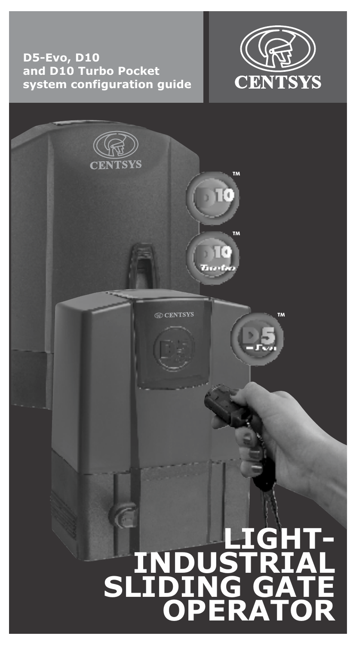### **D5-Evo, D10 and D10 Turbo Pocket system configuration guide**



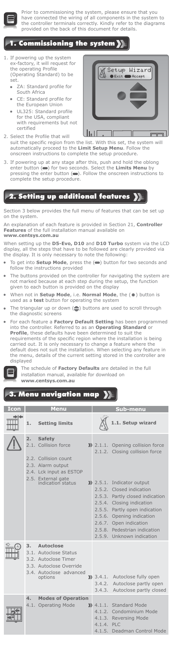

Prior to commissioning the system, please ensure that you<br>have connected the wiring of all components in the system to<br>the controller terminals correctly. Kindly refer to the diagrams<br>provided on the back of this document

### 1. Commissioning the system

- 1. If powering up the system ex-factory, it will request for ex-factory, it will red<br>the operating Profile (Operating Standard) to be set.
	- ZA: Standard profile for South Africa
	- CE: Standard profile for the European Union
	- UL325: Standard profile for the USA, compliant with requirements but not certified



- 2. Select the Profile that will suit the specific region from the list. With this set, the system will automatically proceed to the **Limit Setup Menu**. Follow the onscreen instructions to complete the setup procedure.
- 3. If powering up at any stage after this, push and hold the oblong enter button  $(\bullet)$  for two seconds. Select the **Limits Menu** by enter button and two seconds. Select the **Limits Menu** pressing the enter button  $(\bullet)$ . Follow the onscreen instructions to complete the setup procedure.

## 2. Setting up additional features  $\big\}$

Section 3 below provides the full menu of features that can be set up on the system.

An explanation of each feature is provided in Section 21, **Controller Features** of the full installation manual available on **www.centsys.com.au**

When setting up the **D5-Evo, D10** and **D10 Turbo** system via the LCD display, all the steps that have to be followed are clearly provided via the display. It is only necessary to note the following:

- To get into **Setup Mode**, press the ( $\implies$ ) button for two seconds and follow the instructions provided
- The buttons provided on the controller for navigating the system are not marked because at each step during the setup, the function given to each button is provided on the display
- When not in **Setup Mode**, i.e. **Normal Mode**, the  $($ <sup>o</sup>) button is used as a **test** button for operating the system
- The triangular up or down  $(\bigoplus)$  buttons are used to scroll through the diagnostic screens
- For each feature a **Factory Default Setting** has been programmed into the controller. Referred to as an **Operating Standard** or **Profile**, these defaults have been determined to suit the requirements of the specific region where the installation is being carried out. It is only necessary to change a feature where the<br>default does not suit the installation. When selecting any feature in<br>the menu, details of the current setting stored in the controller are displayed



The schedule of **Factory Defaults** are detailed in the full installation manual, available for download on **www.centsys.com.au**

# 3. Menu navigation map

| Icon |                  | <b>Menu</b>                                                                                                                                              | Sub-menu                      |                                                                                                                                                                                                                                                                                                                                                    |  |
|------|------------------|----------------------------------------------------------------------------------------------------------------------------------------------------------|-------------------------------|----------------------------------------------------------------------------------------------------------------------------------------------------------------------------------------------------------------------------------------------------------------------------------------------------------------------------------------------------|--|
| ⇒⊦   | 1.               | <b>Setting limits</b>                                                                                                                                    |                               | .1. Setup wizard                                                                                                                                                                                                                                                                                                                                   |  |
|      | $\overline{2}$ . | <b>Safety</b><br>2.1. Collision force<br>2.2. Collision count<br>2.3. Alarm output<br>2.4. Lck input as ESTOP<br>2.5. External gate<br>indication status |                               | >> 2.1.1. Opening collision force<br>2.1.2. Closing collision force<br>>> 2.5.1. Indicator output<br>2.5.2. Closed indication<br>2.5.3. Partly closed indication<br>2.5.4. Closing indication<br>2.5.5. Partly open indication<br>2.5.6. Opening indication<br>2.6.7. Open indication<br>2.5.8. Pedestrian indication<br>2.5.9. Unknown indication |  |
|      | 3.               | Autoclose<br>3.1. Autoclose Status<br>3.2. Autoclose Timer<br>3.3. Autoclose Override<br>3.4. Autoclose advanced<br>options                              | $3.4.1$ .<br>3.4.2.<br>3.4.3. | Autoclose fully open<br>Autoclose partly open<br>Autoclose partly closed                                                                                                                                                                                                                                                                           |  |
|      | 4.<br>4.1.       | <b>Modes of Operation</b><br><b>Operating Mode</b>                                                                                                       | 4.1.4. PLC                    | $\lambda$ 4.1.1. Standard Mode<br>4.1.2. Condominium Mode<br>4.1.3. Reversing Mode<br>4.1.5. Deadman Control Mode                                                                                                                                                                                                                                  |  |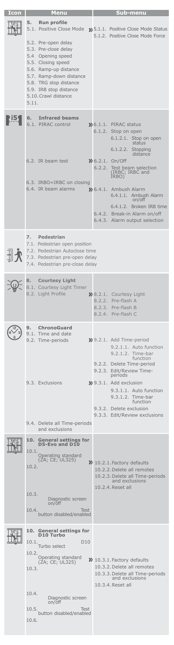| Icon | Menu                                                                                                                                                                                                                            | Sub-menu                                                                                                                                             |  |  |  |
|------|---------------------------------------------------------------------------------------------------------------------------------------------------------------------------------------------------------------------------------|------------------------------------------------------------------------------------------------------------------------------------------------------|--|--|--|
|      | 5.<br><b>Run profile</b><br>5.1. Positive Close Mode                                                                                                                                                                            | >> 5.1.1. Positive Close Mode Status<br>5.1.2. Positive Close Mode Force                                                                             |  |  |  |
|      | 5.2. Pre-open delay<br>5.3. Pre-close delay<br>5.4 Opening speed<br>5.5. Closing speed<br>5.6. Ramp-up distance<br>5.7. Ramp-down distance<br>5.8. TRG stop distance<br>5.9. IRB stop distance<br>5.10. Crawl distance<br>5.11. |                                                                                                                                                      |  |  |  |
|      | <b>Infrared beams</b><br>6.<br>6.1. PIRAC control                                                                                                                                                                               | $\gg 6.1.1$ . PIRAC status<br>6.1.2. Stop on open<br>6.1.2.1.<br>Stop on open<br>status<br>6.1.2.2.<br>Stopping<br>distance                          |  |  |  |
|      | 6.2. IR beam test                                                                                                                                                                                                               | $\lambda$ 6.2.1.<br>On/Off<br>6.2.2.<br>Test beam selection<br>(IRBC; IRBC and<br>IRBO)                                                              |  |  |  |
|      | 6.3. IRBO=IRBC on closing<br>6.4. IR beam alarms                                                                                                                                                                                | >> 6.4.1. Ambush Alarm<br>6.4.1.1. Ambush Alarm<br>on/off<br>6.4.1.2. Broken IRB time                                                                |  |  |  |
|      |                                                                                                                                                                                                                                 | 6.4.2. Break-in Alarm on/off<br>6.4.3. Alarm output selection                                                                                        |  |  |  |
|      | Pedestrian<br>7.<br>7.1. Pedestrian open position<br>7.2. Pedestrian Autoclose time<br>7.3. Pedestrian pre-open delay<br>7.4. Pedestrian pre-close delay                                                                        |                                                                                                                                                      |  |  |  |
|      | <b>Courtesy Light</b><br>8.<br>8.1. Courtesy Light Timer<br>8.2. Light Profile                                                                                                                                                  | >>8.2.1. Courtesy Light<br>8.2.2. Pre-flash A<br>8.2.3. Pre-flash B<br>8.2.4. Pre-flash C                                                            |  |  |  |
|      | 9.<br><b>ChronoGuard</b><br>9.1. Time and date<br>9.2. Time-periods                                                                                                                                                             | >> 9.2.1. Add Time-period<br>9.2.1.1. Auto function<br>9.2.1.2.<br>l ime-bar<br>function<br>9.2.2. Delete Time-period                                |  |  |  |
|      | 9.3. Exclusions                                                                                                                                                                                                                 | 9.2.3. Edit/Review Time-<br>periods<br>>> 9.3.1. Add exclusion<br>9.3.1.1. Auto function<br>9.3.1.2. Time-bar<br>function<br>9.3.2. Delete exclusion |  |  |  |
|      | 9.4. Delete all Time-periods<br>and exclusions                                                                                                                                                                                  | 9.3.3. Edit/Review exclusions                                                                                                                        |  |  |  |
|      | <b>General settings for</b><br>10.<br>D5-Evo and D10<br>10.1.                                                                                                                                                                   |                                                                                                                                                      |  |  |  |
|      | Operating standard<br>(ZA; CE; UL325)<br>10.2.                                                                                                                                                                                  | >> 10.2.1. Factory defaults<br>10.2.2. Delete all remotes<br>10.2.3. Delete all Time-periods<br>and exclusions<br>10.2.4. Reset all                  |  |  |  |
|      | 10.3.<br>Diagnostic screen<br>on/off<br>10.4.<br><b>Test</b><br>button disabled/enabled                                                                                                                                         |                                                                                                                                                      |  |  |  |
|      | <b>General settings for</b><br>10.<br>D10 Turbo<br>D <sub>10</sub><br>10.1.<br>Turbo select<br>10.2.<br>Operating standard<br>(ZA; CE; UL325)<br>10.3.<br>10.4.<br>Diagnostic screen                                            | $\gg 10.3.1$ . Factory defaults<br>10.3.2. Delete all remotes<br>10.3.3. Delete all Time-periods<br>and exclusions<br>10.3.4. Reset all              |  |  |  |
|      | on/off<br>Test<br>10.5.<br>button disabled/enabled<br>10.6.                                                                                                                                                                     |                                                                                                                                                      |  |  |  |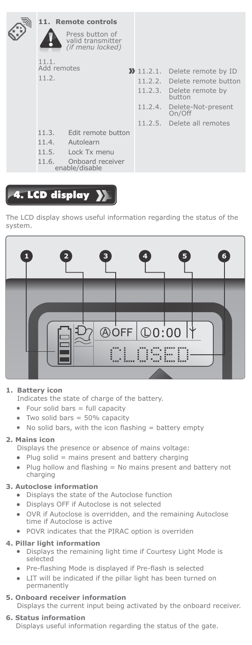|                      | 11. Remote controls                                      |                                      |
|----------------------|----------------------------------------------------------|--------------------------------------|
|                      | Press button of<br>valid transmitter<br>(if menu locked) |                                      |
| 11.1.<br>Add remotes |                                                          |                                      |
|                      |                                                          | $\sum$ 11.2.1. Delete remote by ID   |
| 11.2.                |                                                          | 11.2.2. Delete remote button         |
|                      |                                                          | 11.2.3. Delete remote by<br>button   |
|                      |                                                          | 11.2.4. Delete-Not-present<br>On/Off |
|                      |                                                          | 11.2.5. Delete all remotes           |
| 11.3.                | Edit remote button                                       |                                      |
| 11.4.                | Autolearn                                                |                                      |
| 11.5.                | Lock Tx menu                                             |                                      |
| 11.6.                | Onboard receiver<br>enable/disable                       |                                      |

# 4. LCD display >>

The LCD display shows useful information regarding the status of the system.



### **1. Battery icon**

Indicates the state of charge of the battery.

- Four solid bars = full capacity
- Two solid bars = 50% capacity
- $\bullet$  No solid bars, with the icon flashing = battery empty

#### **2. Mains icon**

Displays the presence or absence of mains voltage:

- $\bullet$  Plug solid = mains present and battery charging
- Plug hollow and flashing = No mains present and battery not charging

#### **3. Autoclose information**

- Displays the state of the Autoclose function
- Displays OFF if Autoclose is not selected
- OVR if Autoclose is overridden, and the remaining Autoclose time if Autoclose is active
- POVR indicates that the PIRAC option is overriden

#### **4. Pillar light information**

- Displays the remaining light time if Courtesy Light Mode is selected
- Pre-flashing Mode is displayed if Pre-flash is selected
- LIT will be indicated if the pillar light has been turned on permanently
- **5. Onboard receiver information** Displays the current input being activated by the onboard receiver.
- **6. Status information** Displays useful information regarding the status of the gate.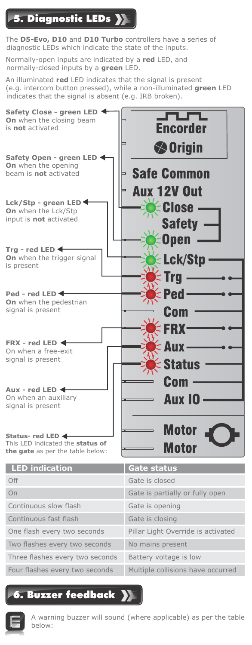# 5. Diagnostic LEDs

The **D5-Evo, D10** and **D10 Turbo** controllers have a series of diagnostic LEDs which indicate the state of the inputs.

Normally-open inputs are indicated by a **red** LED, and normally-closed inputs by a **green** LED.

An illuminated **red** LED indicates that the signal is present (e.g. intercom button pressed), while a non-illuminated **green** LED indicates that the signal is absent (e.g. IRB broken).







A warning buzzer will sound (where applicable) as per the table below: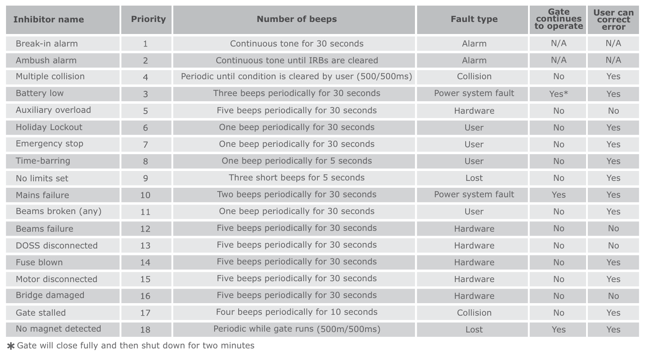| <b>Inhibitor name</b> | <b>Priority</b> | <b>Number of beeps</b>                                  | <b>Fault type</b>  | Gate<br>continues<br>to operate | User can<br>correct<br>error |
|-----------------------|-----------------|---------------------------------------------------------|--------------------|---------------------------------|------------------------------|
| Break-in alarm        | 1               | Continuous tone for 30 seconds                          | Alarm              | N/A                             | N/A                          |
| Ambush alarm          | $\overline{2}$  | Continuous tone until IRBs are cleared                  | Alarm              | N/A                             | N/A                          |
| Multiple collision    | $\overline{4}$  | Periodic until condition is cleared by user (500/500ms) | Collision          | <b>No</b>                       | Yes                          |
| <b>Battery low</b>    | 3               | Three beeps periodically for 30 seconds                 | Power system fault | Yes*                            | Yes                          |
| Auxiliary overload    | 5               | Five beeps periodically for 30 seconds                  | Hardware           | <b>No</b>                       | <b>No</b>                    |
| Holiday Lockout       | 6               | One beep periodically for 30 seconds                    | User               | <b>No</b>                       | Yes                          |
| Emergency stop        | 7               | One beep periodically for 30 seconds                    | User               | <b>No</b>                       | Yes                          |
| Time-barring          | 8               | One beep periodically for 5 seconds                     | User               | <b>No</b>                       | Yes                          |
| No limits set         | 9               | Three short beeps for 5 seconds                         | Lost               | <b>No</b>                       | Yes                          |
| Mains failure         | 10              | Two beeps periodically for 30 seconds                   | Power system fault | Yes                             | Yes                          |
| Beams broken (any)    | 11              | One beep periodically for 30 seconds                    | User               | <b>No</b>                       | Yes                          |
| Beams failure         | 12              | Five beeps periodically for 30 seconds                  | Hardware           | <b>No</b>                       | <b>No</b>                    |
| DOSS disconnected     | 13              | Five beeps periodically for 30 seconds                  | Hardware           | <b>No</b>                       | <b>No</b>                    |
| Fuse blown            | 14              | Five beeps periodically for 30 seconds                  | Hardware           | <b>No</b>                       | Yes                          |
| Motor disconnected    | 15              | Five beeps periodically for 30 seconds                  | Hardware           | <b>No</b>                       | Yes                          |
| Bridge damaged        | 16              | Five beeps periodically for 30 seconds                  | Hardware           | No                              | <b>No</b>                    |
| Gate stalled          | 17              | Four beeps periodically for 10 seconds                  | Collision          | <b>No</b>                       | Yes                          |
| No magnet detected    | 18              | Periodic while gate runs (500m/500ms)                   | Lost               | Yes                             | Yes                          |

Gate will close fully and then shut down for two minutes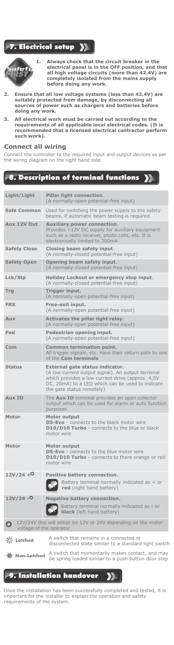#### **Electrical setup**  $\mathbf{y}$



**1. Always check that the circuit breaker in the electrical panel is in the OFF position, and that all high voltage circuits (more than 42.4V) are completely isolated from the mains supply before doing any work.**

- **2. Ensure that all low voltage systems (less than 42.4V) are suitably protected from damage, by disconnecting all sources of power such as chargers and batteries before doing any work.**
- **3. All electrical work must be carried out according to the requirements of all applicable local electrical codes. (It is recommended that a licensed electrical contractor perform such work).**

### **Connect all wiring**

Connect the controller to the required input and output devices as per the wiring diagram on the right hand side.

### 8. Description of terminal functions

| Light/Light         | Pillar light connection.<br>(A normally-open potential-free input)                                                                                                                                                        |
|---------------------|---------------------------------------------------------------------------------------------------------------------------------------------------------------------------------------------------------------------------|
| <b>Safe Common</b>  | Used for switching the power supply to the safety<br>beams, if automatic beam testing is required                                                                                                                         |
| Aux 12V Out         | <b>Auxiliary power connection.</b><br>Provides +12V DC supply for auxiliary equipment<br>such as a radio receiver, photo cells, etc. It is<br>electronically limited to 300mA                                             |
| <b>Safety Close</b> | Closing beam safety input.<br>(A normally-closed potential-free input)                                                                                                                                                    |
| <b>Safety Open</b>  | Opening beam safety input.<br>(A normally-closed potential-free input)                                                                                                                                                    |
| Lck/Stp             | Holiday Lockout or emergency stop input.<br>(A normally-closed potential-free input)                                                                                                                                      |
| Trg                 | Trigger input.<br>(A normally-open potential-free input)                                                                                                                                                                  |
| <b>FRX</b>          | Free-exit input.<br>(A normally-open potential-free input)                                                                                                                                                                |
| Aux                 | Activates the pillar light relay.<br>(A normally-open potential-free input)                                                                                                                                               |
| Ped                 | Pedestrian opening input.<br>(A normally-open potential-free input)                                                                                                                                                       |
| Com                 | Common termination point.<br>All trigger signals, etc. have their return path to one<br>of the Com terminals                                                                                                              |
| <b>Status</b>       | External gate status indicator.<br>(A low current output signal). An output terminal<br>which provides a low current drive (approx. 4,5V<br>DC, 20mA) to a LED which can be used to indicate<br>the gate status remotely) |
| Aux IO              | The Aux IO terminal provides an open collector<br>output which can be used for alarm or auto function<br>purposes                                                                                                         |
| Motor               | Motor output<br>D5-Evo - connects to the black motor wire<br>D10/D10 Turbo - connects to the blue or black<br>motor wire                                                                                                  |
| Motor               | Motor output<br>D5-Evo - connects to the blue motor wire<br>D10/D10 Turbo - connects to there orange or red<br>motor wire                                                                                                 |
| $12V/24 + 0$        | Positive battery connection.<br>Battery terminal normally indicated as $+$ or<br>red (right hand battery)                                                                                                                 |
| $12V/24 - O$        | <b>Negative battery connection.</b><br>Battery terminal normally indicated as - or<br><b>black</b> (left hand battery)                                                                                                    |
| Ο                   | 12V/24V this will either be 12V or 24V depending on the motor<br>voltage of the operator                                                                                                                                  |
| <b>K</b> Latched    | A switch that remains in a connected or<br>disconnected state similar to a standard light switch                                                                                                                          |
| Non-Latched         | A switch that momentarily makes contact, and may<br>be spring loaded similar to a push button door step                                                                                                                   |

#### 9. Installation handover  $\overline{\bm{\Sigma}}$

Once the installation has been successfully completed and tested, it is important for the installer to explain the operation and safety requirements of the system.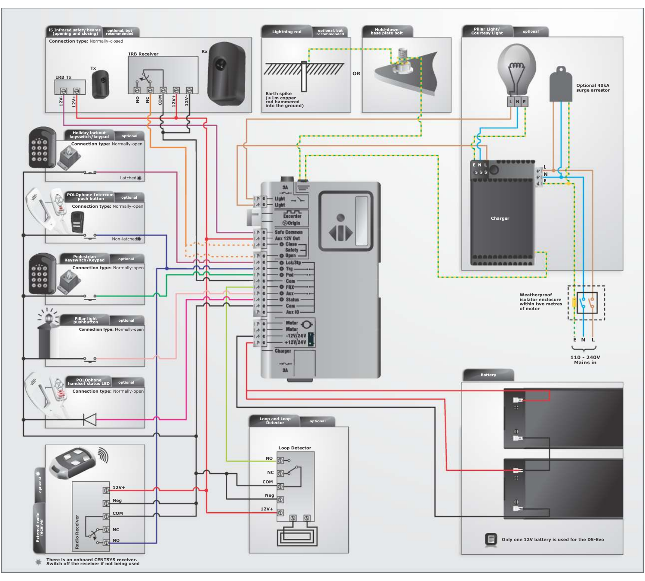